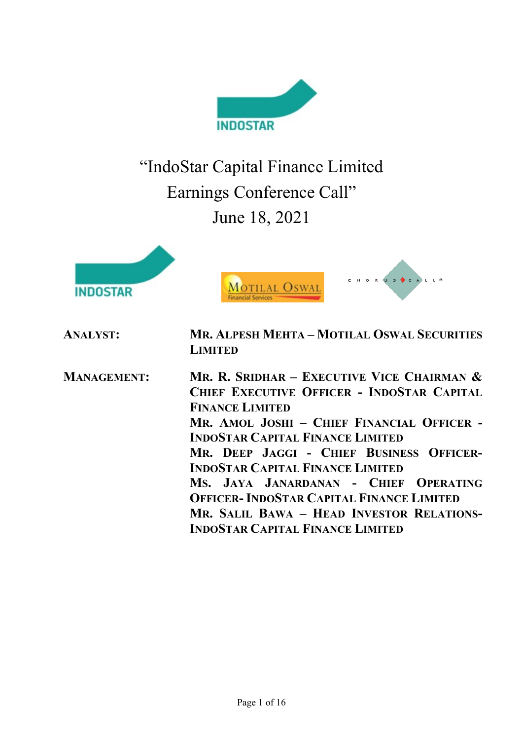

"IndoStar Capital Finance Limited Earnings Conference Call" June 18, 2021



CHORUS CALL<sup>8</sup> MOTILAL OSWAL

| <b>ANALYST:</b>    | <b>MR. ALPESH MEHTA - MOTILAL OSWAL SECURITIES</b><br><b>LIMITED</b>                                                                                                                                                                                                                                                                                                                                                                                                                      |
|--------------------|-------------------------------------------------------------------------------------------------------------------------------------------------------------------------------------------------------------------------------------------------------------------------------------------------------------------------------------------------------------------------------------------------------------------------------------------------------------------------------------------|
| <b>MANAGEMENT:</b> | MR. R. SRIDHAR – EXECUTIVE VICE CHAIRMAN $\&$<br>CHIEF EXECUTIVE OFFICER - INDOSTAR CAPITAL<br><b>FINANCE LIMITED</b><br>MR. AMOL JOSHI - CHIEF FINANCIAL OFFICER -<br><b>INDOSTAR CAPITAL FINANCE LIMITED</b><br>MR. DEEP JAGGI - CHIEF BUSINESS OFFICER-<br><b>INDOSTAR CAPITAL FINANCE LIMITED</b><br>MS. JAYA JANARDANAN - CHIEF OPERATING<br><b>OFFICER-INDOSTAR CAPITAL FINANCE LIMITED</b><br>MR. SALIL BAWA - HEAD INVESTOR RELATIONS-<br><b>INDOSTAR CAPITAL FINANCE LIMITED</b> |
|                    |                                                                                                                                                                                                                                                                                                                                                                                                                                                                                           |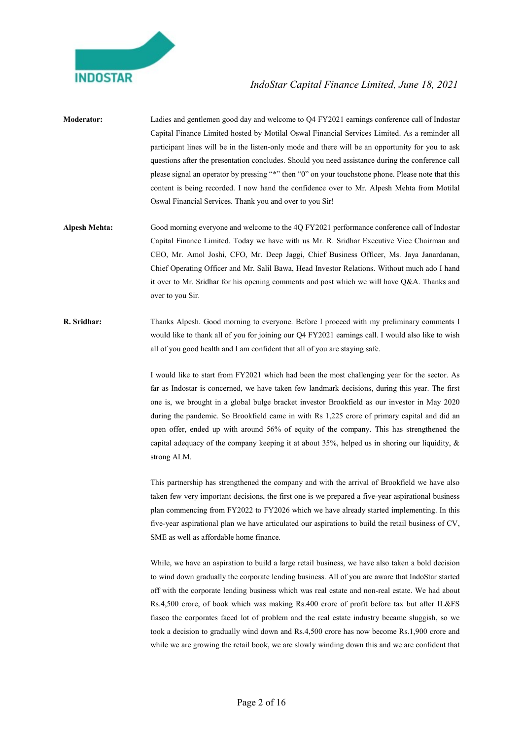

- Moderator: Ladies and gentlemen good day and welcome to Q4 FY2021 earnings conference call of Indostar Capital Finance Limited hosted by Motilal Oswal Financial Services Limited. As a reminder all participant lines will be in the listen-only mode and there will be an opportunity for you to ask questions after the presentation concludes. Should you need assistance during the conference call please signal an operator by pressing "\*" then "0" on your touchstone phone. Please note that this content is being recorded. I now hand the confidence over to Mr. Alpesh Mehta from Motilal Oswal Financial Services. Thank you and over to you Sir!
- Alpesh Mehta: Good morning everyone and welcome to the 4Q FY2021 performance conference call of Indostar Capital Finance Limited. Today we have with us Mr. R. Sridhar Executive Vice Chairman and CEO, Mr. Amol Joshi, CFO, Mr. Deep Jaggi, Chief Business Officer, Ms. Jaya Janardanan, Chief Operating Officer and Mr. Salil Bawa, Head Investor Relations. Without much ado I hand it over to Mr. Sridhar for his opening comments and post which we will have Q&A. Thanks and over to you Sir.
- R. Sridhar: Thanks Alpesh. Good morning to everyone. Before I proceed with my preliminary comments I would like to thank all of you for joining our Q4 FY2021 earnings call. I would also like to wish all of you good health and I am confident that all of you are staying safe.

I would like to start from FY2021 which had been the most challenging year for the sector. As far as Indostar is concerned, we have taken few landmark decisions, during this year. The first one is, we brought in a global bulge bracket investor Brookfield as our investor in May 2020 during the pandemic. So Brookfield came in with Rs 1,225 crore of primary capital and did an open offer, ended up with around 56% of equity of the company. This has strengthened the capital adequacy of the company keeping it at about 35%, helped us in shoring our liquidity, & strong ALM.

 This partnership has strengthened the company and with the arrival of Brookfield we have also taken few very important decisions, the first one is we prepared a five-year aspirational business plan commencing from FY2022 to FY2026 which we have already started implementing. In this five-year aspirational plan we have articulated our aspirations to build the retail business of CV, SME as well as affordable home finance.

 While, we have an aspiration to build a large retail business, we have also taken a bold decision to wind down gradually the corporate lending business. All of you are aware that IndoStar started off with the corporate lending business which was real estate and non-real estate. We had about Rs.4,500 crore, of book which was making Rs.400 crore of profit before tax but after IL&FS fiasco the corporates faced lot of problem and the real estate industry became sluggish, so we took a decision to gradually wind down and Rs.4,500 crore has now become Rs.1,900 crore and while we are growing the retail book, we are slowly winding down this and we are confident that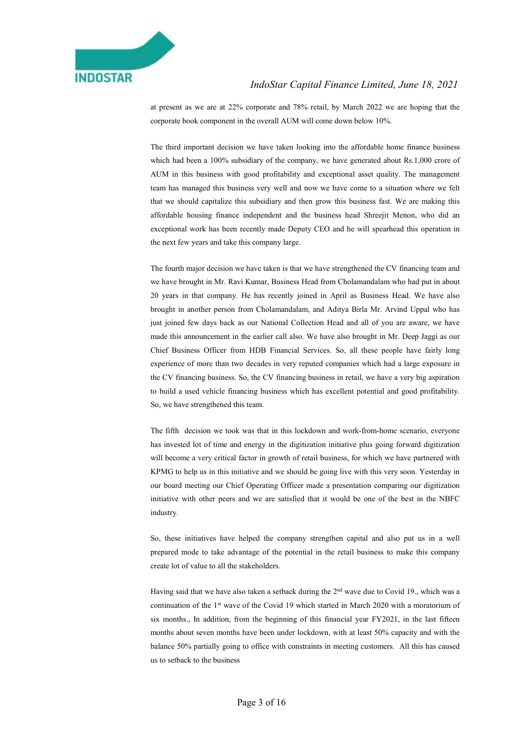

at present as we are at 22% corporate and 78% retail, by March 2022 we are hoping that the corporate book component in the overall AUM will come down below 10%.

 The third important decision we have taken looking into the affordable home finance business which had been a 100% subsidiary of the company, we have generated about Rs.1,000 crore of AUM in this business with good profitability and exceptional asset quality. The management team has managed this business very well and now we have come to a situation where we felt that we should capitalize this subsidiary and then grow this business fast. We are making this affordable housing finance independent and the business head Shreejit Menon, who did an exceptional work has been recently made Deputy CEO and he will spearhead this operation in the next few years and take this company large.

 The fourth major decision we have taken is that we have strengthened the CV financing team and we have brought in Mr. Ravi Kumar, Business Head from Cholamandalam who had put in about 20 years in that company. He has recently joined in April as Business Head. We have also brought in another person from Cholamandalam, and Aditya Birla Mr. Arvind Uppal who has just joined few days back as our National Collection Head and all of you are aware, we have made this announcement in the earlier call also. We have also brought in Mr. Deep Jaggi as our Chief Business Officer from HDB Financial Services. So, all these people have fairly long experience of more than two decades in very reputed companies which had a large exposure in the CV financing business. So, the CV financing business in retail, we have a very big aspiration to build a used vehicle financing business which has excellent potential and good profitability. So, we have strengthened this team.

 The fifth decision we took was that in this lockdown and work-from-home scenario, everyone has invested lot of time and energy in the digitization initiative plus going forward digitization will become a very critical factor in growth of retail business, for which we have partnered with KPMG to help us in this initiative and we should be going live with this very soon. Yesterday in our board meeting our Chief Operating Officer made a presentation comparing our digitization initiative with other peers and we are satisfied that it would be one of the best in the NBFC industry.

 So, these initiatives have helped the company strengthen capital and also put us in a well prepared mode to take advantage of the potential in the retail business to make this company create lot of value to all the stakeholders.

Having said that we have also taken a setback during the 2<sup>nd</sup> wave due to Covid 19., which was a continuation of the 1st wave of the Covid 19 which started in March 2020 with a moratorium of six months., In addition, from the beginning of this financial year FY2021, in the last fifteen months about seven months have been under lockdown, with at least 50% capacity and with the balance 50% partially going to office with constraints in meeting customers. All this has caused us to setback to the business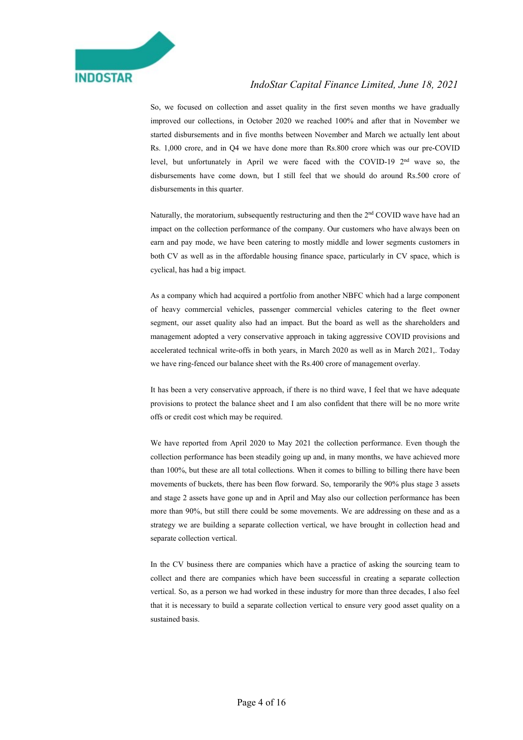

 So, we focused on collection and asset quality in the first seven months we have gradually improved our collections, in October 2020 we reached 100% and after that in November we started disbursements and in five months between November and March we actually lent about Rs. 1,000 crore, and in Q4 we have done more than Rs.800 crore which was our pre-COVID level, but unfortunately in April we were faced with the COVID-19 2nd wave so, the disbursements have come down, but I still feel that we should do around Rs.500 crore of disbursements in this quarter.

 Naturally, the moratorium, subsequently restructuring and then the 2nd COVID wave have had an impact on the collection performance of the company. Our customers who have always been on earn and pay mode, we have been catering to mostly middle and lower segments customers in both CV as well as in the affordable housing finance space, particularly in CV space, which is cyclical, has had a big impact.

 As a company which had acquired a portfolio from another NBFC which had a large component of heavy commercial vehicles, passenger commercial vehicles catering to the fleet owner segment, our asset quality also had an impact. But the board as well as the shareholders and management adopted a very conservative approach in taking aggressive COVID provisions and accelerated technical write-offs in both years, in March 2020 as well as in March 2021,. Today we have ring-fenced our balance sheet with the Rs.400 crore of management overlay.

 It has been a very conservative approach, if there is no third wave, I feel that we have adequate provisions to protect the balance sheet and I am also confident that there will be no more write offs or credit cost which may be required.

 We have reported from April 2020 to May 2021 the collection performance. Even though the collection performance has been steadily going up and, in many months, we have achieved more than 100%, but these are all total collections. When it comes to billing to billing there have been movements of buckets, there has been flow forward. So, temporarily the 90% plus stage 3 assets and stage 2 assets have gone up and in April and May also our collection performance has been more than 90%, but still there could be some movements. We are addressing on these and as a strategy we are building a separate collection vertical, we have brought in collection head and separate collection vertical.

 In the CV business there are companies which have a practice of asking the sourcing team to collect and there are companies which have been successful in creating a separate collection vertical. So, as a person we had worked in these industry for more than three decades, I also feel that it is necessary to build a separate collection vertical to ensure very good asset quality on a sustained basis.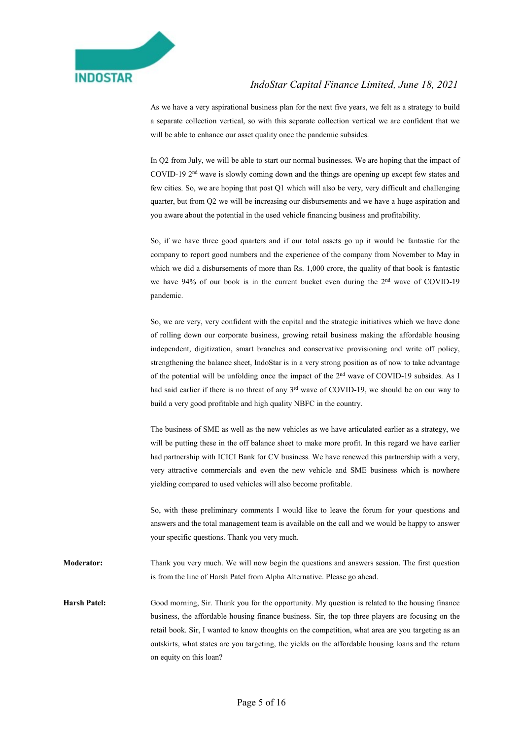

 As we have a very aspirational business plan for the next five years, we felt as a strategy to build a separate collection vertical, so with this separate collection vertical we are confident that we will be able to enhance our asset quality once the pandemic subsides.

 In Q2 from July, we will be able to start our normal businesses. We are hoping that the impact of COVID-19 2nd wave is slowly coming down and the things are opening up except few states and few cities. So, we are hoping that post Q1 which will also be very, very difficult and challenging quarter, but from Q2 we will be increasing our disbursements and we have a huge aspiration and you aware about the potential in the used vehicle financing business and profitability.

 So, if we have three good quarters and if our total assets go up it would be fantastic for the company to report good numbers and the experience of the company from November to May in which we did a disbursements of more than Rs. 1,000 crore, the quality of that book is fantastic we have 94% of our book is in the current bucket even during the 2nd wave of COVID-19 pandemic.

 So, we are very, very confident with the capital and the strategic initiatives which we have done of rolling down our corporate business, growing retail business making the affordable housing independent, digitization, smart branches and conservative provisioning and write off policy, strengthening the balance sheet, IndoStar is in a very strong position as of now to take advantage of the potential will be unfolding once the impact of the 2nd wave of COVID-19 subsides. As I had said earlier if there is no threat of any 3<sup>rd</sup> wave of COVID-19, we should be on our way to build a very good profitable and high quality NBFC in the country.

 The business of SME as well as the new vehicles as we have articulated earlier as a strategy, we will be putting these in the off balance sheet to make more profit. In this regard we have earlier had partnership with ICICI Bank for CV business. We have renewed this partnership with a very, very attractive commercials and even the new vehicle and SME business which is nowhere yielding compared to used vehicles will also become profitable.

 So, with these preliminary comments I would like to leave the forum for your questions and answers and the total management team is available on the call and we would be happy to answer your specific questions. Thank you very much.

Moderator: Thank you very much. We will now begin the questions and answers session. The first question is from the line of Harsh Patel from Alpha Alternative. Please go ahead.

Harsh Patel: Good morning, Sir. Thank you for the opportunity. My question is related to the housing finance business, the affordable housing finance business. Sir, the top three players are focusing on the retail book. Sir, I wanted to know thoughts on the competition, what area are you targeting as an outskirts, what states are you targeting, the yields on the affordable housing loans and the return on equity on this loan?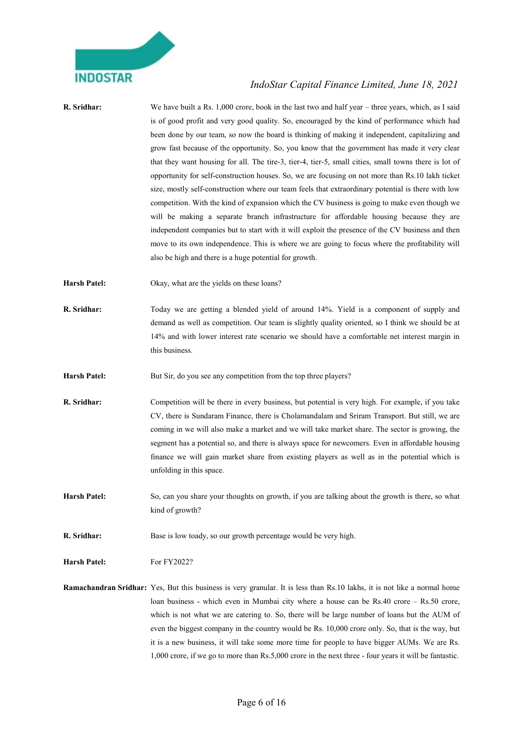

| R. Sridhar:         | We have built a Rs. $1,000$ crore, book in the last two and half year – three years, which, as I said<br>is of good profit and very good quality. So, encouraged by the kind of performance which had<br>been done by our team, so now the board is thinking of making it independent, capitalizing and<br>grow fast because of the opportunity. So, you know that the government has made it very clear<br>that they want housing for all. The tire-3, tier-4, tier-5, small cities, small towns there is lot of<br>opportunity for self-construction houses. So, we are focusing on not more than Rs.10 lakh ticket<br>size, mostly self-construction where our team feels that extraordinary potential is there with low<br>competition. With the kind of expansion which the CV business is going to make even though we<br>will be making a separate branch infrastructure for affordable housing because they are<br>independent companies but to start with it will exploit the presence of the CV business and then<br>move to its own independence. This is where we are going to focus where the profitability will<br>also be high and there is a huge potential for growth. |
|---------------------|-----------------------------------------------------------------------------------------------------------------------------------------------------------------------------------------------------------------------------------------------------------------------------------------------------------------------------------------------------------------------------------------------------------------------------------------------------------------------------------------------------------------------------------------------------------------------------------------------------------------------------------------------------------------------------------------------------------------------------------------------------------------------------------------------------------------------------------------------------------------------------------------------------------------------------------------------------------------------------------------------------------------------------------------------------------------------------------------------------------------------------------------------------------------------------------------|
| <b>Harsh Patel:</b> | Okay, what are the yields on these loans?                                                                                                                                                                                                                                                                                                                                                                                                                                                                                                                                                                                                                                                                                                                                                                                                                                                                                                                                                                                                                                                                                                                                               |
| R. Sridhar:         | Today we are getting a blended yield of around 14%. Yield is a component of supply and<br>demand as well as competition. Our team is slightly quality oriented, so I think we should be at<br>14% and with lower interest rate scenario we should have a comfortable net interest margin in<br>this business.                                                                                                                                                                                                                                                                                                                                                                                                                                                                                                                                                                                                                                                                                                                                                                                                                                                                           |
| <b>Harsh Patel:</b> | But Sir, do you see any competition from the top three players?                                                                                                                                                                                                                                                                                                                                                                                                                                                                                                                                                                                                                                                                                                                                                                                                                                                                                                                                                                                                                                                                                                                         |
| R. Sridhar:         | Competition will be there in every business, but potential is very high. For example, if you take<br>CV, there is Sundaram Finance, there is Cholamandalam and Sriram Transport. But still, we are<br>coming in we will also make a market and we will take market share. The sector is growing, the<br>segment has a potential so, and there is always space for newcomers. Even in affordable housing<br>finance we will gain market share from existing players as well as in the potential which is<br>unfolding in this space.                                                                                                                                                                                                                                                                                                                                                                                                                                                                                                                                                                                                                                                     |
| <b>Harsh Patel:</b> | So, can you share your thoughts on growth, if you are talking about the growth is there, so what<br>kind of growth?                                                                                                                                                                                                                                                                                                                                                                                                                                                                                                                                                                                                                                                                                                                                                                                                                                                                                                                                                                                                                                                                     |
| R. Sridhar:         | Base is low toady, so our growth percentage would be very high.                                                                                                                                                                                                                                                                                                                                                                                                                                                                                                                                                                                                                                                                                                                                                                                                                                                                                                                                                                                                                                                                                                                         |
| <b>Harsh Patel:</b> | For FY2022?                                                                                                                                                                                                                                                                                                                                                                                                                                                                                                                                                                                                                                                                                                                                                                                                                                                                                                                                                                                                                                                                                                                                                                             |
|                     | <b>Ramachandran Sridhar:</b> Yes, But this business is very granular. It is less than Rs.10 lakhs, it is not like a normal home<br>loan business - which even in Mumbai city where a house can be Rs.40 crore - Rs.50 crore,<br>which is not what we are catering to. So, there will be large number of loans but the AUM of<br>even the biggest company in the country would be Rs. 10,000 crore only. So, that is the way, but<br>it is a new business, it will take some more time for people to have bigger AUMs. We are Rs.<br>1,000 crore, if we go to more than Rs.5,000 crore in the next three - four years it will be fantastic.                                                                                                                                                                                                                                                                                                                                                                                                                                                                                                                                              |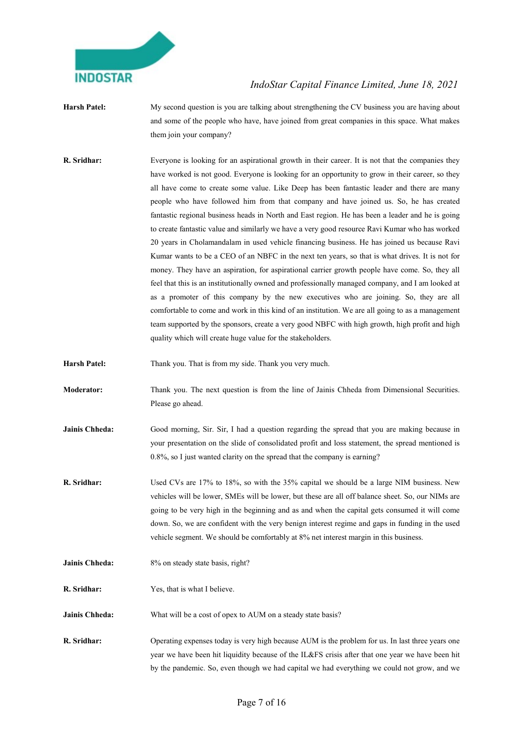

- Harsh Patel: My second question is you are talking about strengthening the CV business you are having about and some of the people who have, have joined from great companies in this space. What makes them join your company?
- R. Sridhar: Everyone is looking for an aspirational growth in their career. It is not that the companies they have worked is not good. Everyone is looking for an opportunity to grow in their career, so they all have come to create some value. Like Deep has been fantastic leader and there are many people who have followed him from that company and have joined us. So, he has created fantastic regional business heads in North and East region. He has been a leader and he is going to create fantastic value and similarly we have a very good resource Ravi Kumar who has worked 20 years in Cholamandalam in used vehicle financing business. He has joined us because Ravi Kumar wants to be a CEO of an NBFC in the next ten years, so that is what drives. It is not for money. They have an aspiration, for aspirational carrier growth people have come. So, they all feel that this is an institutionally owned and professionally managed company, and I am looked at as a promoter of this company by the new executives who are joining. So, they are all comfortable to come and work in this kind of an institution. We are all going to as a management team supported by the sponsors, create a very good NBFC with high growth, high profit and high quality which will create huge value for the stakeholders.
- Harsh Patel: Thank you. That is from my side. Thank you very much.
- Moderator: Thank you. The next question is from the line of Jainis Chheda from Dimensional Securities. Please go ahead.
- Jainis Chheda: Good morning, Sir. Sir, I had a question regarding the spread that you are making because in your presentation on the slide of consolidated profit and loss statement, the spread mentioned is 0.8%, so I just wanted clarity on the spread that the company is earning?
- R. Sridhar: Used CVs are 17% to 18%, so with the 35% capital we should be a large NIM business. New vehicles will be lower, SMEs will be lower, but these are all off balance sheet. So, our NIMs are going to be very high in the beginning and as and when the capital gets consumed it will come down. So, we are confident with the very benign interest regime and gaps in funding in the used vehicle segment. We should be comfortably at 8% net interest margin in this business.
- Jainis Chheda: 8% on steady state basis, right?
- R. Sridhar: Yes, that is what I believe.
- Jainis Chheda: What will be a cost of opex to AUM on a steady state basis?
- R. Sridhar: Operating expenses today is very high because AUM is the problem for us. In last three years one year we have been hit liquidity because of the IL&FS crisis after that one year we have been hit by the pandemic. So, even though we had capital we had everything we could not grow, and we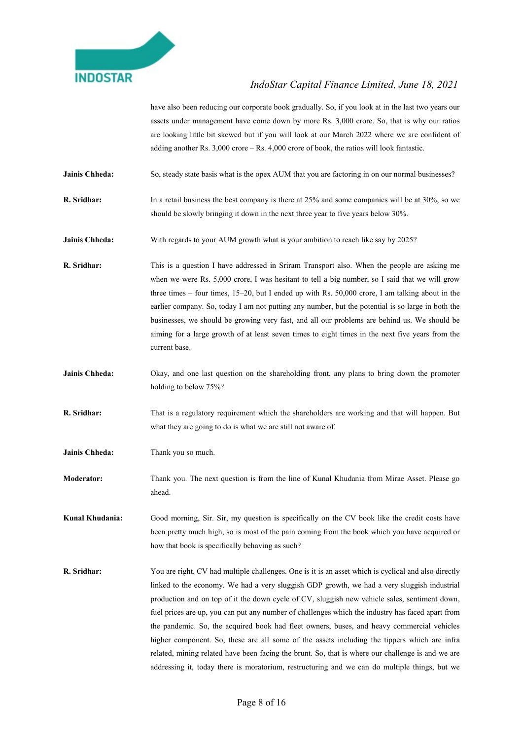

have also been reducing our corporate book gradually. So, if you look at in the last two years our assets under management have come down by more Rs. 3,000 crore. So, that is why our ratios are looking little bit skewed but if you will look at our March 2022 where we are confident of adding another Rs. 3,000 crore – Rs. 4,000 crore of book, the ratios will look fantastic.

- Jainis Chheda: So, steady state basis what is the opex AUM that you are factoring in on our normal businesses?
- R. Sridhar: In a retail business the best company is there at 25% and some companies will be at 30%, so we should be slowly bringing it down in the next three year to five years below 30%.
- Jainis Chheda: With regards to your AUM growth what is your ambition to reach like say by 2025?
- R. Sridhar: This is a question I have addressed in Sriram Transport also. When the people are asking me when we were Rs. 5,000 crore, I was hesitant to tell a big number, so I said that we will grow three times – four times, 15–20, but I ended up with Rs. 50,000 crore, I am talking about in the earlier company. So, today I am not putting any number, but the potential is so large in both the businesses, we should be growing very fast, and all our problems are behind us. We should be aiming for a large growth of at least seven times to eight times in the next five years from the current base.
- Jainis Chheda: Okay, and one last question on the shareholding front, any plans to bring down the promoter holding to below 75%?
- R. Sridhar: That is a regulatory requirement which the shareholders are working and that will happen. But what they are going to do is what we are still not aware of.
- Jainis Chheda: Thank you so much.
- Moderator: Thank you. The next question is from the line of Kunal Khudania from Mirae Asset. Please go ahead.

Kunal Khudania: Good morning, Sir. Sir, my question is specifically on the CV book like the credit costs have been pretty much high, so is most of the pain coming from the book which you have acquired or how that book is specifically behaving as such?

R. Sridhar: You are right. CV had multiple challenges. One is it is an asset which is cyclical and also directly linked to the economy. We had a very sluggish GDP growth, we had a very sluggish industrial production and on top of it the down cycle of CV, sluggish new vehicle sales, sentiment down, fuel prices are up, you can put any number of challenges which the industry has faced apart from the pandemic. So, the acquired book had fleet owners, buses, and heavy commercial vehicles higher component. So, these are all some of the assets including the tippers which are infra related, mining related have been facing the brunt. So, that is where our challenge is and we are addressing it, today there is moratorium, restructuring and we can do multiple things, but we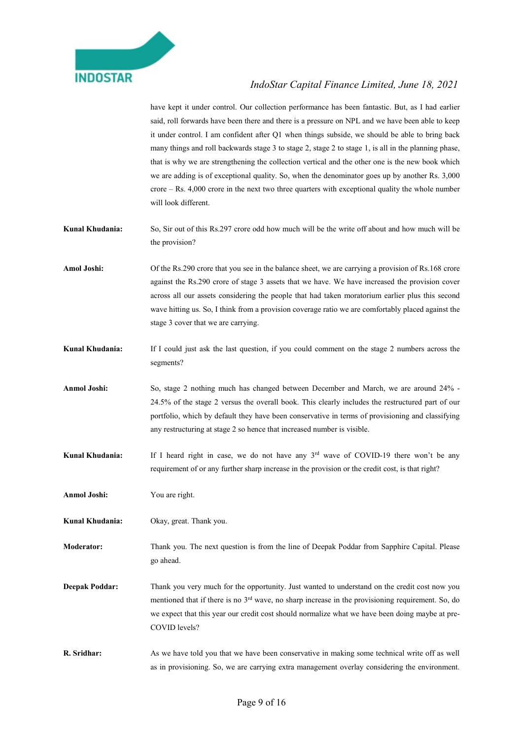

have kept it under control. Our collection performance has been fantastic. But, as I had earlier said, roll forwards have been there and there is a pressure on NPL and we have been able to keep it under control. I am confident after Q1 when things subside, we should be able to bring back many things and roll backwards stage 3 to stage 2, stage 2 to stage 1, is all in the planning phase, that is why we are strengthening the collection vertical and the other one is the new book which we are adding is of exceptional quality. So, when the denominator goes up by another Rs. 3,000 crore – Rs. 4,000 crore in the next two three quarters with exceptional quality the whole number will look different.

- Kunal Khudania: So, Sir out of this Rs.297 crore odd how much will be the write off about and how much will be the provision?
- Amol Joshi: Of the Rs.290 crore that you see in the balance sheet, we are carrying a provision of Rs.168 crore against the Rs.290 crore of stage 3 assets that we have. We have increased the provision cover across all our assets considering the people that had taken moratorium earlier plus this second wave hitting us. So, I think from a provision coverage ratio we are comfortably placed against the stage 3 cover that we are carrying.
- Kunal Khudania: If I could just ask the last question, if you could comment on the stage 2 numbers across the segments?
- Anmol Joshi: So, stage 2 nothing much has changed between December and March, we are around 24% -24.5% of the stage 2 versus the overall book. This clearly includes the restructured part of our portfolio, which by default they have been conservative in terms of provisioning and classifying any restructuring at stage 2 so hence that increased number is visible.
- Kunal Khudania: If I heard right in case, we do not have any 3<sup>rd</sup> wave of COVID-19 there won't be any requirement of or any further sharp increase in the provision or the credit cost, is that right?
- Anmol Joshi: You are right.
- Kunal Khudania: Okay, great. Thank you.
- Moderator: Thank you. The next question is from the line of Deepak Poddar from Sapphire Capital. Please go ahead.
- Deepak Poddar: Thank you very much for the opportunity. Just wanted to understand on the credit cost now you mentioned that if there is no 3rd wave, no sharp increase in the provisioning requirement. So, do we expect that this year our credit cost should normalize what we have been doing maybe at pre-COVID levels?
- R. Sridhar: As we have told you that we have been conservative in making some technical write off as well as in provisioning. So, we are carrying extra management overlay considering the environment.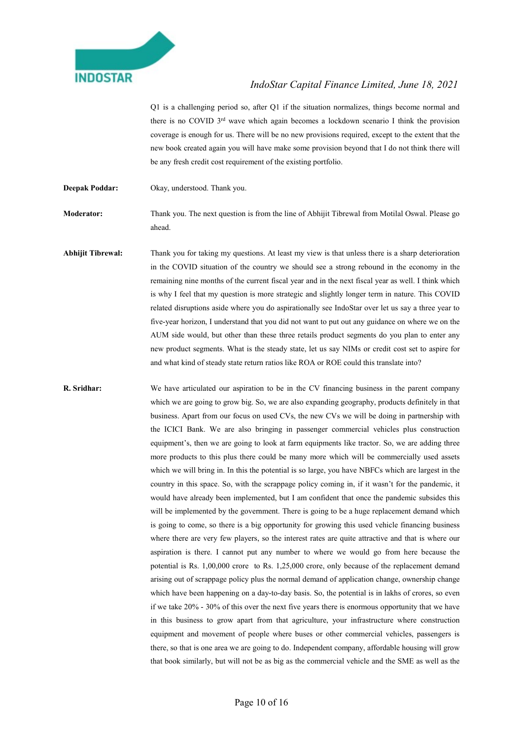

Q1 is a challenging period so, after Q1 if the situation normalizes, things become normal and there is no COVID  $3<sup>rd</sup>$  wave which again becomes a lockdown scenario I think the provision coverage is enough for us. There will be no new provisions required, except to the extent that the new book created again you will have make some provision beyond that I do not think there will be any fresh credit cost requirement of the existing portfolio.

Deepak Poddar: Okay, understood. Thank you.

Moderator: Thank you. The next question is from the line of Abhijit Tibrewal from Motilal Oswal. Please go ahead.

Abhijit Tibrewal: Thank you for taking my questions. At least my view is that unless there is a sharp deterioration in the COVID situation of the country we should see a strong rebound in the economy in the remaining nine months of the current fiscal year and in the next fiscal year as well. I think which is why I feel that my question is more strategic and slightly longer term in nature. This COVID related disruptions aside where you do aspirationally see IndoStar over let us say a three year to five-year horizon, I understand that you did not want to put out any guidance on where we on the AUM side would, but other than these three retails product segments do you plan to enter any new product segments. What is the steady state, let us say NIMs or credit cost set to aspire for and what kind of steady state return ratios like ROA or ROE could this translate into?

R. Sridhar: We have articulated our aspiration to be in the CV financing business in the parent company which we are going to grow big. So, we are also expanding geography, products definitely in that business. Apart from our focus on used CVs, the new CVs we will be doing in partnership with the ICICI Bank. We are also bringing in passenger commercial vehicles plus construction equipment's, then we are going to look at farm equipments like tractor. So, we are adding three more products to this plus there could be many more which will be commercially used assets which we will bring in. In this the potential is so large, you have NBFCs which are largest in the country in this space. So, with the scrappage policy coming in, if it wasn't for the pandemic, it would have already been implemented, but I am confident that once the pandemic subsides this will be implemented by the government. There is going to be a huge replacement demand which is going to come, so there is a big opportunity for growing this used vehicle financing business where there are very few players, so the interest rates are quite attractive and that is where our aspiration is there. I cannot put any number to where we would go from here because the potential is Rs. 1,00,000 crore to Rs. 1,25,000 crore, only because of the replacement demand arising out of scrappage policy plus the normal demand of application change, ownership change which have been happening on a day-to-day basis. So, the potential is in lakhs of crores, so even if we take 20% - 30% of this over the next five years there is enormous opportunity that we have in this business to grow apart from that agriculture, your infrastructure where construction equipment and movement of people where buses or other commercial vehicles, passengers is there, so that is one area we are going to do. Independent company, affordable housing will grow that book similarly, but will not be as big as the commercial vehicle and the SME as well as the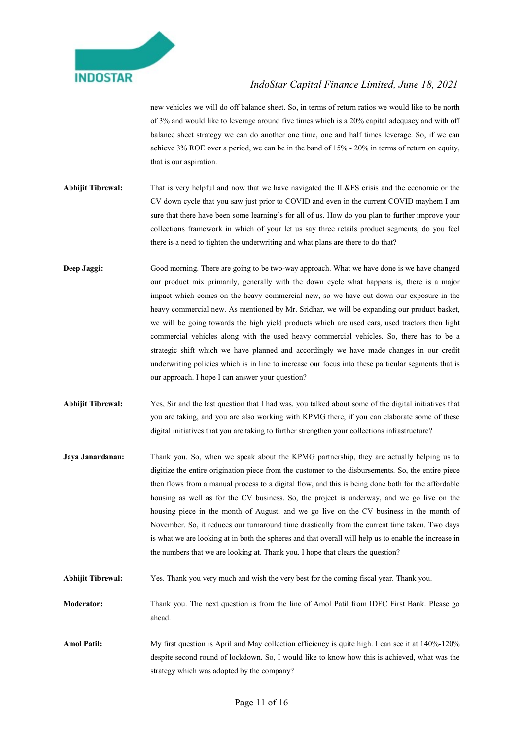

new vehicles we will do off balance sheet. So, in terms of return ratios we would like to be north of 3% and would like to leverage around five times which is a 20% capital adequacy and with off balance sheet strategy we can do another one time, one and half times leverage. So, if we can achieve 3% ROE over a period, we can be in the band of 15% - 20% in terms of return on equity, that is our aspiration.

- Abhijit Tibrewal: That is very helpful and now that we have navigated the IL&FS crisis and the economic or the CV down cycle that you saw just prior to COVID and even in the current COVID mayhem I am sure that there have been some learning's for all of us. How do you plan to further improve your collections framework in which of your let us say three retails product segments, do you feel there is a need to tighten the underwriting and what plans are there to do that?
- Deep Jaggi: Good morning. There are going to be two-way approach. What we have done is we have changed our product mix primarily, generally with the down cycle what happens is, there is a major impact which comes on the heavy commercial new, so we have cut down our exposure in the heavy commercial new. As mentioned by Mr. Sridhar, we will be expanding our product basket, we will be going towards the high yield products which are used cars, used tractors then light commercial vehicles along with the used heavy commercial vehicles. So, there has to be a strategic shift which we have planned and accordingly we have made changes in our credit underwriting policies which is in line to increase our focus into these particular segments that is our approach. I hope I can answer your question?
- Abhijit Tibrewal: Yes, Sir and the last question that I had was, you talked about some of the digital initiatives that you are taking, and you are also working with KPMG there, if you can elaborate some of these digital initiatives that you are taking to further strengthen your collections infrastructure?
- Jaya Janardanan: Thank you. So, when we speak about the KPMG partnership, they are actually helping us to digitize the entire origination piece from the customer to the disbursements. So, the entire piece then flows from a manual process to a digital flow, and this is being done both for the affordable housing as well as for the CV business. So, the project is underway, and we go live on the housing piece in the month of August, and we go live on the CV business in the month of November. So, it reduces our turnaround time drastically from the current time taken. Two days is what we are looking at in both the spheres and that overall will help us to enable the increase in the numbers that we are looking at. Thank you. I hope that clears the question?
- Abhijit Tibrewal: Yes. Thank you very much and wish the very best for the coming fiscal year. Thank you.
- Moderator: Thank you. The next question is from the line of Amol Patil from IDFC First Bank. Please go ahead.
- Amol Patil: My first question is April and May collection efficiency is quite high. I can see it at 140%-120% despite second round of lockdown. So, I would like to know how this is achieved, what was the strategy which was adopted by the company?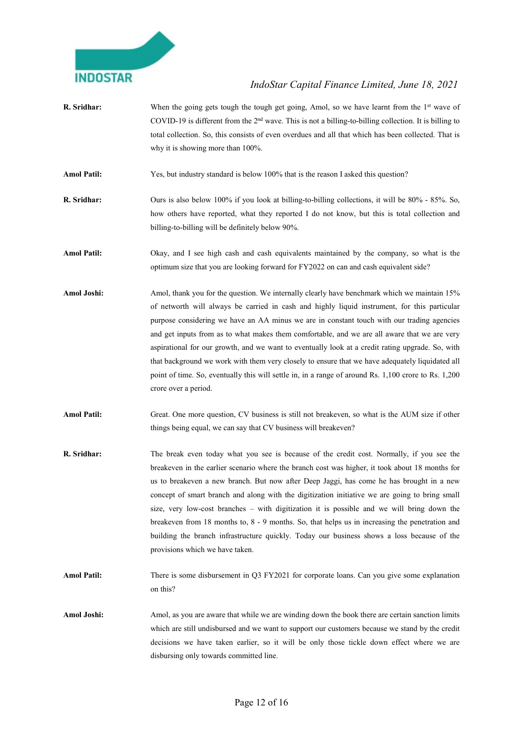

- **R. Sridhar:** When the going gets tough the tough get going, Amol, so we have learnt from the  $1<sup>st</sup>$  wave of COVID-19 is different from the 2nd wave. This is not a billing-to-billing collection. It is billing to total collection. So, this consists of even overdues and all that which has been collected. That is why it is showing more than 100%.
- Amol Patil: Yes, but industry standard is below 100% that is the reason I asked this question?
- R. Sridhar: Ours is also below 100% if you look at billing-to-billing collections, it will be 80% 85%. So, how others have reported, what they reported I do not know, but this is total collection and billing-to-billing will be definitely below 90%.
- Amol Patil: Okay, and I see high cash and cash equivalents maintained by the company, so what is the optimum size that you are looking forward for FY2022 on can and cash equivalent side?
- Amol Joshi: Amol, thank you for the question. We internally clearly have benchmark which we maintain 15% of networth will always be carried in cash and highly liquid instrument, for this particular purpose considering we have an AA minus we are in constant touch with our trading agencies and get inputs from as to what makes them comfortable, and we are all aware that we are very aspirational for our growth, and we want to eventually look at a credit rating upgrade. So, with that background we work with them very closely to ensure that we have adequately liquidated all point of time. So, eventually this will settle in, in a range of around Rs. 1,100 crore to Rs. 1,200 crore over a period.
- Amol Patil: Great. One more question, CV business is still not breakeven, so what is the AUM size if other things being equal, we can say that CV business will breakeven?
- R. Sridhar: The break even today what you see is because of the credit cost. Normally, if you see the breakeven in the earlier scenario where the branch cost was higher, it took about 18 months for us to breakeven a new branch. But now after Deep Jaggi, has come he has brought in a new concept of smart branch and along with the digitization initiative we are going to bring small size, very low-cost branches – with digitization it is possible and we will bring down the breakeven from 18 months to, 8 - 9 months. So, that helps us in increasing the penetration and building the branch infrastructure quickly. Today our business shows a loss because of the provisions which we have taken.
- Amol Patil: There is some disbursement in O3 FY2021 for corporate loans. Can you give some explanation on this?
- Amol Joshi: Amol, as you are aware that while we are winding down the book there are certain sanction limits which are still undisbursed and we want to support our customers because we stand by the credit decisions we have taken earlier, so it will be only those tickle down effect where we are disbursing only towards committed line.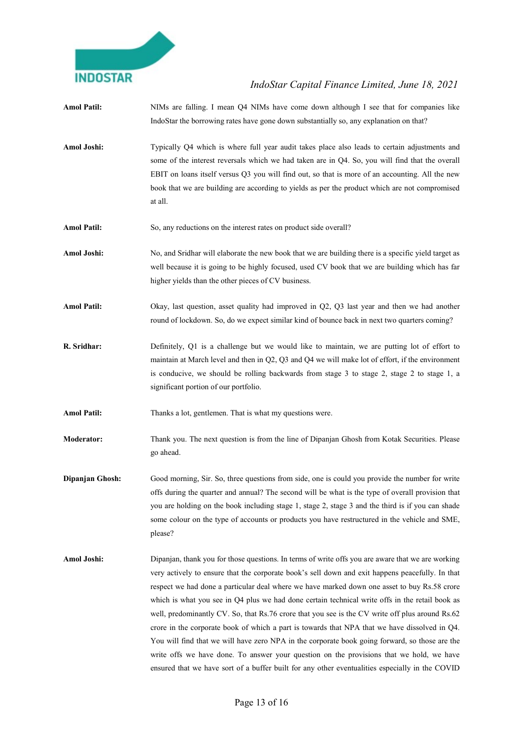

| <b>Amol Patil:</b> | NIMs are falling. I mean Q4 NIMs have come down although I see that for companies like<br>IndoStar the borrowing rates have gone down substantially so, any explanation on that?                                                                                                                                                                                                                                                                                                                                                                                                                                                                                                                                                                                                                                                                                                                              |
|--------------------|---------------------------------------------------------------------------------------------------------------------------------------------------------------------------------------------------------------------------------------------------------------------------------------------------------------------------------------------------------------------------------------------------------------------------------------------------------------------------------------------------------------------------------------------------------------------------------------------------------------------------------------------------------------------------------------------------------------------------------------------------------------------------------------------------------------------------------------------------------------------------------------------------------------|
| Amol Joshi:        | Typically Q4 which is where full year audit takes place also leads to certain adjustments and<br>some of the interest reversals which we had taken are in Q4. So, you will find that the overall<br>EBIT on loans itself versus Q3 you will find out, so that is more of an accounting. All the new<br>book that we are building are according to yields as per the product which are not compromised<br>at all.                                                                                                                                                                                                                                                                                                                                                                                                                                                                                              |
| <b>Amol Patil:</b> | So, any reductions on the interest rates on product side overall?                                                                                                                                                                                                                                                                                                                                                                                                                                                                                                                                                                                                                                                                                                                                                                                                                                             |
| Amol Joshi:        | No, and Sridhar will elaborate the new book that we are building there is a specific yield target as<br>well because it is going to be highly focused, used CV book that we are building which has far<br>higher yields than the other pieces of CV business.                                                                                                                                                                                                                                                                                                                                                                                                                                                                                                                                                                                                                                                 |
| <b>Amol Patil:</b> | Okay, last question, asset quality had improved in Q2, Q3 last year and then we had another<br>round of lockdown. So, do we expect similar kind of bounce back in next two quarters coming?                                                                                                                                                                                                                                                                                                                                                                                                                                                                                                                                                                                                                                                                                                                   |
| R. Sridhar:        | Definitely, Q1 is a challenge but we would like to maintain, we are putting lot of effort to<br>maintain at March level and then in Q2, Q3 and Q4 we will make lot of effort, if the environment<br>is conducive, we should be rolling backwards from stage 3 to stage 2, stage 2 to stage 1, a<br>significant portion of our portfolio.                                                                                                                                                                                                                                                                                                                                                                                                                                                                                                                                                                      |
| <b>Amol Patil:</b> | Thanks a lot, gentlemen. That is what my questions were.                                                                                                                                                                                                                                                                                                                                                                                                                                                                                                                                                                                                                                                                                                                                                                                                                                                      |
| <b>Moderator:</b>  | Thank you. The next question is from the line of Dipanjan Ghosh from Kotak Securities. Please<br>go ahead.                                                                                                                                                                                                                                                                                                                                                                                                                                                                                                                                                                                                                                                                                                                                                                                                    |
| Dipanjan Ghosh:    | Good morning, Sir. So, three questions from side, one is could you provide the number for write<br>offs during the quarter and annual? The second will be what is the type of overall provision that<br>you are holding on the book including stage 1, stage 2, stage 3 and the third is if you can shade<br>some colour on the type of accounts or products you have restructured in the vehicle and SME,<br>please?                                                                                                                                                                                                                                                                                                                                                                                                                                                                                         |
| Amol Joshi:        | Dipanjan, thank you for those questions. In terms of write offs you are aware that we are working<br>very actively to ensure that the corporate book's sell down and exit happens peacefully. In that<br>respect we had done a particular deal where we have marked down one asset to buy Rs.58 crore<br>which is what you see in Q4 plus we had done certain technical write offs in the retail book as<br>well, predominantly CV. So, that Rs.76 crore that you see is the CV write off plus around Rs.62<br>crore in the corporate book of which a part is towards that NPA that we have dissolved in Q4.<br>You will find that we will have zero NPA in the corporate book going forward, so those are the<br>write offs we have done. To answer your question on the provisions that we hold, we have<br>ensured that we have sort of a buffer built for any other eventualities especially in the COVID |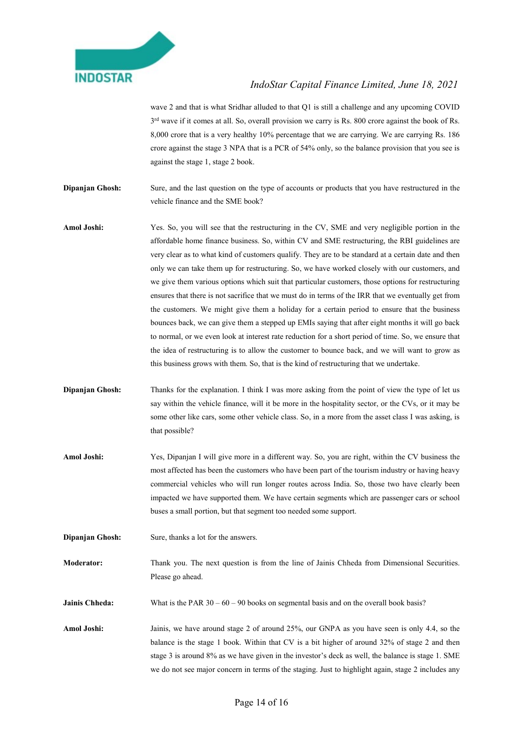

wave 2 and that is what Sridhar alluded to that Q1 is still a challenge and any upcoming COVID  $3<sup>rd</sup>$  wave if it comes at all. So, overall provision we carry is Rs. 800 crore against the book of Rs. 8,000 crore that is a very healthy 10% percentage that we are carrying. We are carrying Rs. 186 crore against the stage 3 NPA that is a PCR of 54% only, so the balance provision that you see is against the stage 1, stage 2 book.

- Dipanjan Ghosh: Sure, and the last question on the type of accounts or products that you have restructured in the vehicle finance and the SME book?
- Amol Joshi: Yes. So, you will see that the restructuring in the CV, SME and very negligible portion in the affordable home finance business. So, within CV and SME restructuring, the RBI guidelines are very clear as to what kind of customers qualify. They are to be standard at a certain date and then only we can take them up for restructuring. So, we have worked closely with our customers, and we give them various options which suit that particular customers, those options for restructuring ensures that there is not sacrifice that we must do in terms of the IRR that we eventually get from the customers. We might give them a holiday for a certain period to ensure that the business bounces back, we can give them a stepped up EMIs saying that after eight months it will go back to normal, or we even look at interest rate reduction for a short period of time. So, we ensure that the idea of restructuring is to allow the customer to bounce back, and we will want to grow as this business grows with them. So, that is the kind of restructuring that we undertake.
- Dipanjan Ghosh: Thanks for the explanation. I think I was more asking from the point of view the type of let us say within the vehicle finance, will it be more in the hospitality sector, or the CVs, or it may be some other like cars, some other vehicle class. So, in a more from the asset class I was asking, is that possible?
- Amol Joshi: Yes, Dipanjan I will give more in a different way. So, you are right, within the CV business the most affected has been the customers who have been part of the tourism industry or having heavy commercial vehicles who will run longer routes across India. So, those two have clearly been impacted we have supported them. We have certain segments which are passenger cars or school buses a small portion, but that segment too needed some support.
- **Dipanjan Ghosh:** Sure, thanks a lot for the answers.
- Moderator: Thank you. The next question is from the line of Jainis Chheda from Dimensional Securities. Please go ahead.

**Jainis Chheda:** What is the PAR  $30 - 60 - 90$  books on segmental basis and on the overall book basis?

Amol Joshi: Jainis, we have around stage 2 of around 25%, our GNPA as you have seen is only 4.4, so the balance is the stage 1 book. Within that CV is a bit higher of around 32% of stage 2 and then stage 3 is around 8% as we have given in the investor's deck as well, the balance is stage 1. SME we do not see major concern in terms of the staging. Just to highlight again, stage 2 includes any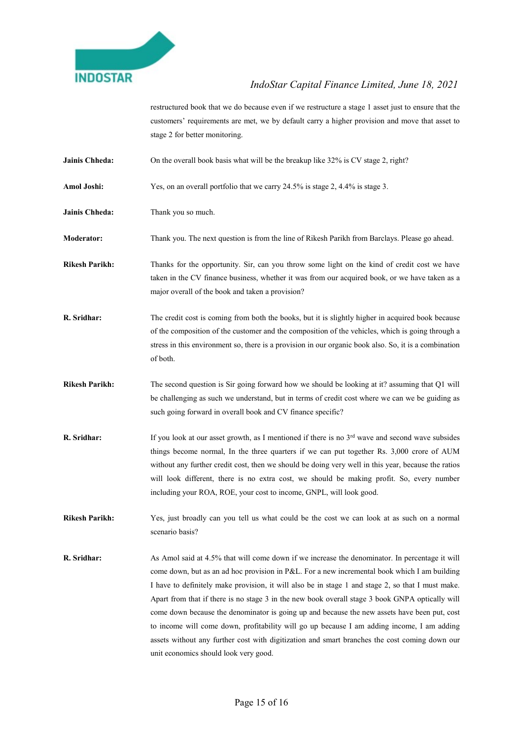

restructured book that we do because even if we restructure a stage 1 asset just to ensure that the customers' requirements are met, we by default carry a higher provision and move that asset to stage 2 for better monitoring.

- **Jainis Chheda:** On the overall book basis what will be the breakup like 32% is CV stage 2, right?
- Amol Joshi: Yes, on an overall portfolio that we carry 24.5% is stage 2, 4.4% is stage 3.

Jainis Chheda: Thank you so much.

Moderator: Thank you. The next question is from the line of Rikesh Parikh from Barclays. Please go ahead.

- Rikesh Parikh: Thanks for the opportunity. Sir, can you throw some light on the kind of credit cost we have taken in the CV finance business, whether it was from our acquired book, or we have taken as a major overall of the book and taken a provision?
- R. Sridhar: The credit cost is coming from both the books, but it is slightly higher in acquired book because of the composition of the customer and the composition of the vehicles, which is going through a stress in this environment so, there is a provision in our organic book also. So, it is a combination of both.
- Rikesh Parikh: The second question is Sir going forward how we should be looking at it? assuming that Q1 will be challenging as such we understand, but in terms of credit cost where we can we be guiding as such going forward in overall book and CV finance specific?
- **R. Sridhar:** If you look at our asset growth, as I mentioned if there is no  $3<sup>rd</sup>$  wave and second wave subsides things become normal, In the three quarters if we can put together Rs. 3,000 crore of AUM without any further credit cost, then we should be doing very well in this year, because the ratios will look different, there is no extra cost, we should be making profit. So, every number including your ROA, ROE, your cost to income, GNPL, will look good.

Rikesh Parikh: Yes, just broadly can you tell us what could be the cost we can look at as such on a normal scenario basis?

R. Sridhar: As Amol said at 4.5% that will come down if we increase the denominator. In percentage it will come down, but as an ad hoc provision in P&L. For a new incremental book which I am building I have to definitely make provision, it will also be in stage 1 and stage 2, so that I must make. Apart from that if there is no stage 3 in the new book overall stage 3 book GNPA optically will come down because the denominator is going up and because the new assets have been put, cost to income will come down, profitability will go up because I am adding income, I am adding assets without any further cost with digitization and smart branches the cost coming down our unit economics should look very good.